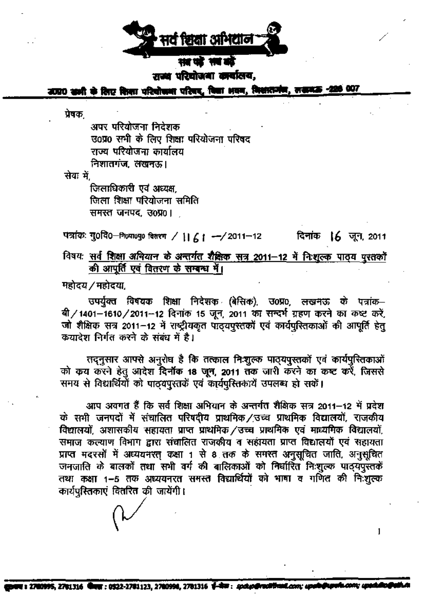

शक्य परियोजना कार्यालय,

उत्प्रात कभी के लिए दिला परियोजना परिवर, विज्ञा अवन, विश्वासमंज, लडामऊ

प्रेषकः

अपर परियोजना निदेशक उ०प्र० सभी के लिए शिक्षा परियोजना परिषद राज्य परियोजना कार्यालय निशातगंज, लखनऊ।

सेवा में.

जिलाधिकारी एवं अध्यक्ष. जिला शिक्षा परियोजना समिति समस्त जनपद. उ०प्र०।

पत्रांकः गु0वि0-निल्पा0पु0 बितरण / ||  $61 - 2011 - 12$ **दिनांक । 6** जून, 2011

विषय: <u>सर्व शिक्षा अभियान के अन्तर्गत शैक्षिक सत्र 2011-12 में निःशुल्क पाठ्य पुरतकों</u> की आपूर्ति एवं वितरण के सम्बन्ध में।

महोदय / महोदया

उपर्युक्त विषयक शिक्षा निर्देशक (बेसिक), उ0प्र0, लखनऊ के पत्रांक-बी/1401-1610/2011-12 दिनांक 15 जून, 2011 का सन्दर्भ ग्रहण करने का कष्ट करें, जो शैक्षिक सत्र 2011-12 में राष्ट्रीयकृत पाठ्यपुस्तकों एवं कार्यपुस्तिकाओं की आपूर्ति हेतु क्रयादेश निर्गत करने के संबंध में है।

तदनुसार आपसे अनुरोध है कि तत्काल निःशुल्क पाठ्यपुस्तकों एवं कार्यपुस्तिकाओं को कय करने हेतु आदेश दिनॉक 18 जून, 2011 तक जारी करने का कष्ट करें, जिससे समय से विद्यार्थियों को पाठयपुस्तकें एवं कार्यपुस्तिकार्ये उपलब्ध हो सकें।

आप अवगत हैं कि सर्व शिक्षा अभियान के अन्तर्गत शैक्षिक सत्र 2011–12 में प्रदेश के सभी जनपदों में संचालित परिषदीय प्राथमिक/उच्च प्राथमिक विद्यालयों, राजकीय विद्यालयों, अशासकीय सहायता प्राप्त प्राथमिक /उच्च प्राथमिक एवं माध्यमिक विद्यालयों, समाज कल्याण विभाग द्वारा संचालित राजकीय व सहायता प्राप्त विद्यालयों एवं सहायता प्राप्त मदरसों में अध्ययनरत् कक्षा 1 से 8 तक के समस्त अनुसूचित जाति, अनुसूचित जनजाति के बालकों तथा सभी वर्ग की बालिकाओं को निर्धारित निःशुल्क पादयपुस्तकें तथा कक्षा 1-5 तक अध्ययनरत समस्त विद्यार्थियों को भाषा व गर्णित की निःशुल्क कार्यपुस्तिकाएं वितरित की जायेंगी।

1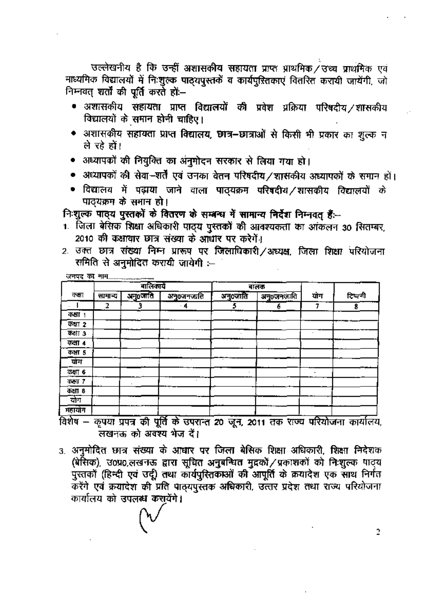उल्लेखनीय है कि उन्हीं अशासकीय सहायता प्राप्त प्राथमिक / उच्च प्राथमिक एवं माध्यमिक विद्यालयों में निःशुल्क पाठ्यपुस्तकें व कार्यपुस्तिकाएं वितरित करायी जायेंगी, जो निम्नवत् शर्तों की पूर्ति करते हों—

- अशासकीय संहायता प्राप्त विद्यालयों की प्रवेश प्रक्रिया परिषदीय /शासकीय विद्यालयों के समान होनी चाहिए।
- अशासकीय सहायता प्राप्त विद्यालय, छात्र-छात्राओं से किसी भी प्रकार का शुल्क न ले रहे हों।
- अध्यापकों की नियुक्ति का अंनुमोदन सरकार से लिया गया हो।
- अध्यापकों की सेवा-शर्तें एवं उनका वेतन परिषदीय /शासकीय अध्यापकों के समान हों।
- विद्यालय में पढ़ाया जाने वाला पाठ्यक्रम परिषदीय ⁄शासकीय विद्यालयों के पाठयक्रम के समान हो।

िशुल्क पाइय पुस्तकों के वितरण के सम्बन्ध में सामान्य निर्देश निम्नवत् हैं:--

- 1. जिला बेसिक शिक्षा अधिकारी पाठ्य पुस्तकों की आवश्यकता का आंकलन 30 सितम्बर, 2010 की कक्षावार छात्र संख्या के आधार पर करेगें।
- 2. उक्त छात्र संख्या निम्न प्रारूप पर जिलाधिकारी/अध्यक्ष, जिला शिक्षा परियोजना समिति से अनुमोदित करायी जायेगी :--

|         |         | .<br>बालिकार्ये |                   |          | बालक       |     |         |
|---------|---------|-----------------|-------------------|----------|------------|-----|---------|
| कश्चा   | सामान्य | अनु0ञ्जति       | <u>अनु0जनजाति</u> | अनु०जाति | अनु०जनलाति | योग | टिप्पणी |
|         | 2       |                 | $\cdot$ 4         |          |            |     |         |
| कक्षा 1 |         |                 |                   |          |            |     |         |
| कत्ना 2 |         |                 |                   |          |            |     |         |
| कक्षा ३ |         |                 |                   |          |            |     |         |
| कक्षा 4 |         |                 |                   |          |            |     |         |
| कक्षा ५ |         |                 |                   |          |            |     |         |
| योग     |         |                 |                   |          |            |     |         |
| कक्षा 6 |         |                 |                   |          |            |     |         |
| कक्षा 7 |         |                 |                   |          |            |     |         |
| कक्षा 8 |         |                 |                   |          |            |     |         |
| योग     |         |                 |                   |          |            |     |         |
| महायोग  |         |                 |                   |          |            |     |         |

विशेष – कृपया प्रपत्र की पूर्ति के उपरान्त 20 जून, 2011 तक राज्य परियोजना कार्यालय, लखनक को अवश्य भेज दें।

3. अनुमोदित छात्र संख्या के आधार पर जिला बेसिक शिक्षा अधिकारी, शिक्षा निदेशक (बेसिक), उ०प्र०,लखनऊ द्वारा सूचित अनुबन्धित मुद्रकों / प्रकाशकों को निःशुल्क पाठ्य पुरतकों (हिन्दी एवं उर्दू) तथा कार्यपुरितकाओं की आपूर्ति के क्रयादेश एक साथ निर्गत करेंगे एवं क्रयादेश की प्रति पाठयपुरतक अधिकारी, उत्तर प्रदेश तथा राज्य परियोजना कार्यालय को उपलब्ध करायेंगे।

 $\overline{2}$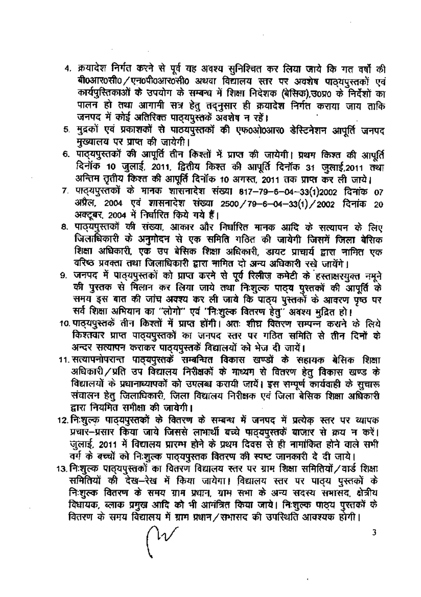- 4. क्रयादेश निर्गत करने से पूर्व यह अवश्य सुनिश्चित कर लिया जाये कि गत वर्षों की बी0आर0सी0/एन0पी0आर0सी0 अथवा विद्यालय स्तर पर अवशेष पाठ्यपुस्तकों एवं कार्यपुस्तिकाओं के उपयोग के सम्बन्ध में शिक्षा निदेशक (बेसिक), उ०प्र० के निर्देशों का पालन हो तथा आगामी सत्र हेतु तदनुसार ही क्रयादेश निर्गत कराया जाय ताकि जनपद में कोई अतिरिक्त पाठ्यपुस्तकें अवशेष न रहें।
- 5. मुद्रकों एवं प्रकाशकों से पाठयपुस्तकों की एफ0ओ0आर0 डेस्टिनेशन आपूर्ति जनपद मुख्यालय पर प्राप्त की जायेगी।
- 6. पाठ्यपुस्तकों की आपूर्ति तीन किश्तों में प्राप्त की जायेगी। प्रथम किश्त की आपूर्ति दिनोंक 10 जुलाई, 2011, द्वितीय किश्त की आपूर्ति दिनोंक 31 जुलाई,2011 तथा अन्तिम तृतीय किश्त की आपूर्ति दिनॉक 10 अगस्त, 2011 तक प्राप्त कर ली जाये।
- 7. पाठ्यपुरतकों के मानक शासनादेश संख्या 817-79-6-04-33(1)2002 दिनांक 07 अप्रैल, 2004 एवं शासनादेश संख्या 2500/79-6-04-33(1)/2002 दिनांक 20 अक्टूबर, 2004 में निर्धारित किये गये हैं।
- 8. पाठ्यपुस्तकों की संख्या, आकार और निर्धारित मानक आदि के सत्यापन के लिए जिलाधिकारी के अनुमोदन से एक समिति गठित की जायेगी जिसमें जिला बेसिक शिक्षा अधिकारी, एक उप बेसिक शिक्षा अधिकारी, डायट प्राचार्य द्वारा नामित एक वरिष्ठ प्रवक्ता तथा जिलाधिकारी द्वारा नामित दो अन्य अधिकारी रखे जायेंगे।
- 9. जनपद में पाठ्यपुस्तकों को प्राप्त करने से पूर्व रिलीज़ कमेटी के हस्ताक्षरयुक्त नमूने की पुस्तक से मिलान कर लिया जाये तथा निःशुल्क पाट्य पुस्तकों की आपूर्ति के समय इस बात की जांच अवश्य कर ली जाये कि पाठ्य पुस्तकों के आवरण पृष्ठ पर सर्व शिक्षा अभियान का "लोगो" एवं "निःशुल्क वितरण हेतु" अवश्य मुद्रित हो।
- 10. पाठ्यपुस्तकें तीन किश्तों में प्राप्त होंगी। अतः शीघ्र वितरण सम्पन्न कराने के लिये किश्तवार प्राप्त पाठ्यपुस्तकों का जनपद स्तर पर गठित समिति से तीन दिनों के अन्दर सत्यापन कराकर पाठयपुस्तकें विद्यालयों को भेज दी जायें।
- 11. सत्यापनोपरान्त पाठ्यपुस्तकें सम्बन्धित विकास खण्डों के सहायक बेसिक शिक्षा अधिकारी/प्रति उप विद्यालय निरीक्षकों के माध्यम से वितरण हेतु विकास खण्ड के विद्यालयों के प्रधानाध्यापकों को उपलब्ध करायी जायें। इस सम्पूर्ण कार्यवाही के सुचारू संचालन हेतु जिलाधिकारी, जिला विद्यालय निरीक्षक एवं जिला बेसिक शिक्षा अधिकारी द्वारा नियमित समीक्षा की जायेगी।
- 12. निःशुल्क पाठ्यपुस्तकों के वितरण के सम्बन्ध में जनपद में प्रत्येक स्तर पर व्यापक प्रचार-प्रसार किया जाये जिससे लाभार्थी बच्चे पाठ्यपुस्तकें बाजार से क्रय न करें। जुलाई, 2011 में विद्यालय प्रारम्भ होने के प्रथम दिवस से ही नामांकित होने वाले सभी वर्ग के बच्चों को निःशुल्क पाठ्यपुस्तक वितरण की स्पष्ट जानकारी दे दी जाये।
- 13. निःशुल्क पाठ्यपुस्तकों का वितरण विद्यालय स्तर पर ग्राम शिक्षा समितियों / वार्ड शिक्षा समितियों की देख-रेख में किया जायेगा। विद्यालय स्तर पर पाठ्य पुस्तकों के निःशुल्क वितरण के समय ग्राम प्रधान, ग्राम सभा के अन्य सदस्य समासद, क्षेत्रीय विधायक, ब्लाक प्रमुख आदि को भी आमंत्रित किया जाये। निःशुल्क पाड्य पुस्तकों के वितरण के समय विद्यालय में ग्राम प्रधान/सभासद की उपस्थिति आवश्यक होगी।

3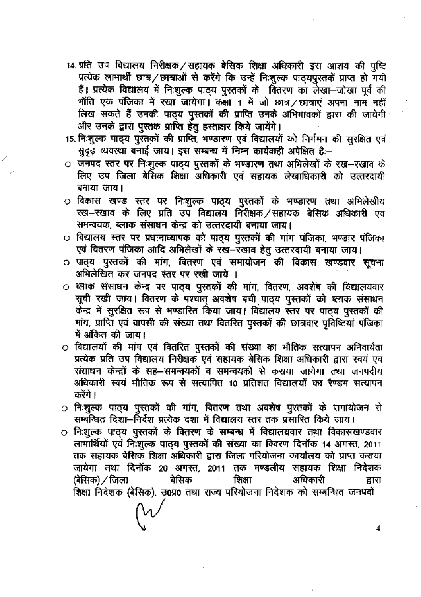- 14. प्रति उप विद्यालय निरीक्षक/सहायक बेसिक शिक्षा अधिकारी इस आशय की पुष्टि प्रत्येक लाभार्थी छात्र/छात्राओं से करेंगे कि उन्हें निःशुल्क पाठ्यपुस्तकें प्राप्त हो गयी हैं। प्रत्येक विद्यालय में निःशुल्क पाठ्य पुस्तकों के वितरण का लेखा-जोखा पूर्व की भाँति एक पंजिका में रखा जायेगा। कक्षा 1 में जो छात्र / छात्राएं अपना नाम नहीं लिख सकते हैं उनकी पाठ्य पुस्तकों की प्राप्ति उनके अभिभावकों द्वारा की जायेगी और उनके द्वारा पुस्तक प्राप्ति हेतु हस्ताक्षर किये जायेंगे।
- 15. निःशुल्क पाठ्य पुस्तकों की प्राप्ति, भण्डारण एवं विद्यालयों को निर्गमन की सुरक्षित एवं सुदृढ़ व्यवस्था बनाई जाय। इस सम्बन्ध में निम्न कार्यवाही अपेक्षित है:--
- ं जनपद स्तर पर निःशुल्क पाठ्य पुस्तकों के भण्डारण तथा अभिलेखों के रख-रखाव के लिए उप जिला बेसिक शिक्षा अधिकारी एवं सहायक लेखाधिकारी को उत्तरदायी बनाया जाय।
- ं विकास खण्ड स्तर पर निःशुल्क पाठ्य पुस्तकों के भण्डारण तथा अभिलेखीय रख—रखाव के लिए प्रति उप विद्यालय निरीक्षक /सहायक बेसिक अधिकारी एवं समन्वयक, ब्लाक संसाधन केन्द्र को उत्तरदायी बनाया जाय।
- ं विद्यालय स्तर पर प्रधानाध्यापक को पाठ्य पुस्तकों की मांग पंजिका, भण्डार पंजिका एवं वितरण पंजिका आदि अभिलेखों के रख–रखाव हेतु उत्तरदायी बनाया जाय।
- ं पाठ्य पुस्तकों की मांग, वितरण एवं समायोजन की विकास खण्डवार सूचना अभिलेखित कर जनपद स्तर पर रखी जाये ।
- ं ब्लाक संसाधन केन्द्र पर पा**ठ्य पुस्तकों की मांग, वितरण, अवशेष की विद्याल**यवार सूची रखी जाय। वितरण के पश्चात् अवशेष बची पाठ्य पुस्तकों को ब्लाक संसाधन केन्द्र में सुरक्षित रूप से भण्डारित किया जाय। विद्यालय स्तर पर पाठ्य पुस्तकों की मांग, प्राप्ति एवं वापसी की संख्या तथा वितरित पुस्तकों की छात्रवार प्रविष्टियां पंजिका में अंकित की जाय।
- O विद्यालयों की मांग एवं वितरित पुस्तकों की संख्या का भौतिक सत्यापन अनिवार्यता प्रत्येक प्रति उप विद्यालय निरीक्षक एवं सहायक बेसिक शिक्षा अधिकारी द्वारा स्वयं एवं संसाधन केन्द्रों के सह-समन्वयकों व समन्वयकों से कराया जायेगा तथा जनपदीय अधिकारी स्वयं भौतिक रूप से सत्यापित 10 प्रतिशत विद्यालयों का रैण्डम सत्यापन करेंगे ।
- ं निःशुल्क पाठ्य पुस्तकों की मांग, वितरण तथा अवशेष पुस्तकों के समायोजन से सम्बन्धित दिशा–निर्देश प्रत्येक दशा में विद्यालय स्तर तक प्रसारित किये जाय।
- O निःशुल्क पाठ्य पुस्तकों के वितरण के सम्बन्ध में विद्यालयवार तथा विकासखण्डवार लाभार्थियों एवं निःशुल्क पातृय पुस्तकों की संख्या का विवरण दिनॉक 14 अगस्त, 2011 तक सहायक बेसिक शिक्षा अधिकारी द्वारा जिला परियोजना कार्यालय को प्राप्त कराया जायेगा तथा दिनोंक 20 अगस्त, 2011 तक मण्डलीय सहायक शिक्षा निदेशक बेसिक शिक्षा अधिकारी (बेसिक) ∕ जिला द्वारा शिक्षा निदेशक (बेसिक), उ0प्र0 तथा राज्य परियोजना निदेशक को सम्बन्धित जनपदों

4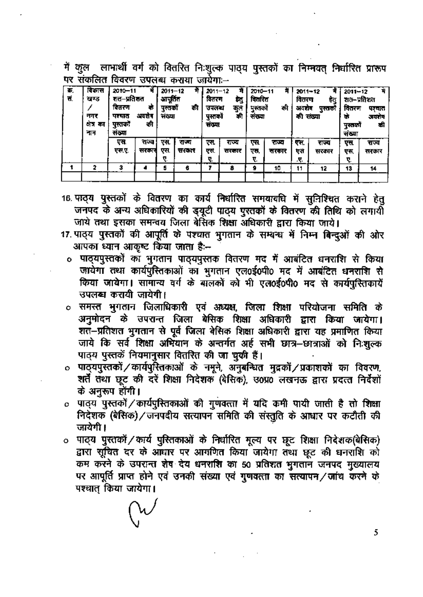में कुल लाभार्थी वर्ग को वितरित निःशुल्क पाठ्य पुस्तकों का निम्मवत् निर्धारित प्रारूप पर संकलित विवरण उपलब्ध कराया जायेगा:--

| 军.<br>π. | विकास<br>खण्ड<br>नगर<br>क्षेत्र का<br>नाम | र्में<br>$2010 - 11$<br>शत—प्रतिशत<br>वितरण<br>Ф<br>अवशेष<br>पश्यात<br>की<br>पुस्तका<br>संख्या |                | $2011 - 12$<br>₩<br>आपूर्तित<br>की<br>पुस्तका<br>संख्या |                | ÷.<br>$2011 - 12$<br>वितरण<br>t.<br>कुत<br>जपलय<br>पस्तकों<br>দী<br>सव्या |                | 2010-11<br>विद्यरित<br>पुस्तको<br>की<br>सरमा |                | $\blacksquare$<br>$2011 - 12$<br>वितरण<br>ध्य<br>अवसंब<br>पुस्तको<br>की संख्या |                | म<br>$2011 - 12$<br>शत–प्रतिशत<br>वितरण<br>परचात<br>को<br>अवरोक<br>बी<br>पस्तका<br>संख्या |                |
|----------|-------------------------------------------|------------------------------------------------------------------------------------------------|----------------|---------------------------------------------------------|----------------|---------------------------------------------------------------------------|----------------|----------------------------------------------|----------------|--------------------------------------------------------------------------------|----------------|-------------------------------------------------------------------------------------------|----------------|
|          |                                           | एस<br>एस.ए.                                                                                    | राज्य<br>सरकार | एस.<br>एस.                                              | राज्य<br>सरकार | एस.<br>एस.<br>₹.                                                          | राज्य<br>सरकार | एस<br>एस.<br>₹.                              | राज्य<br>सरकार | एस.<br>एस<br>Ą.                                                                | राज्य<br>सरकार | एस<br>ए न,<br>ч.                                                                          | राज्य<br>सरकार |
|          | 2                                         | 3                                                                                              |                | 5                                                       | 6              |                                                                           | 8              | 9                                            | 10             | 11                                                                             | 12             | 13                                                                                        | 14             |

- 16 पाठ्य पुस्तकों के वितरण का कार्य निर्धारित समयावधि में सुनिश्चित कराने हेतु जनपद के अन्य अधिकारियों की इयूटी पाठ्य पुस्तकों के वितरण की तिथि को लगायी जाये तथा इसका समन्वय जिला बेसिक शिक्षा अधिकारी द्वारा किया जाये।
- 17. पाठ्य पुस्तकों की आपूर्ति के पश्चात भुगतान के सम्बन्ध में निम्न बिन्दुओं की ओर आपका ध्यान आकृष्ट किया जाता है:--
	- ० पाठ्यपुस्तकों का भुगतान पाठ्यपुस्तक वितरण मद में आबंटित धनराशि से किया जायेगा तथा कार्यपुरितकाओं का भूगतान एल0ई0पी0 मद में आबंटित धनराशि से किया जायेगा। सामान्य वर्ग के बालकों को भी एल0ई0पी0 मद से कार्यपुस्तिकायें उपलब्ध करायी जायेगी।
	- ं समस्त भुगतान जिलाधिकारी एवं अध्यक्ष, जिला शिक्षा परियोजना समिति के अनुमोदन के उपरान्त जिला बेसिक शिक्षा अधिकारी द्वारा किया जायेगा। शत–प्रतिशत भूगतान से पूर्व जिला बेसिक शिक्षा अधिकारी द्वारा यह प्रमाणित किया जाये कि सर्व शिक्षा अभियान के अन्तर्गत अई सभी छात्र-छात्राओं को निःशुल्क पाठ्य पुस्तकें नियमानुसार वितरित की जा चुकी हैं।
- पाठ्यपुस्तकों ⁄ कार्यपुस्तिकाओं के नमूने, अनुबन्धित मुद्रकों ⁄ प्रकाशकों का विवरण, शर्तें तथा छूट की दरें शिक्षा निदेशक (बेसिक), उ०प्र0 लखनऊ द्वारा प्रदत्त निर्देशों के अनुरूप होंगी।
- ० पाठ्य पुस्तकों / कार्यपुस्तिकाओं की गुणवत्ता में यदि कमी पायी जाती है तो शिक्षा निदेशक (बेसिक)/जनपदीय सत्यापन समिति की संस्तुति के आधार पर कटौती की जायेगी ।
- 0 पाठ्य पुस्तकों / कार्य पुस्तिकाओं के निर्धारित मूल्य पर छूट शिक्षा निदेशक(बेसिक) द्वारा सूचित दर के आधार पर आगणित किया जायेगा तथा छूट की धनराशि को कम करने के उपरान्त शेष देय धनराशि का 50 प्रतिशत भुगताने जनपद मुख्यालय पर आपूर्ति प्राप्त होने एवं उनकी संख्या एवं गुणवत्ता का सत्यापन/जांच करने के पश्चात किया जायेगा।

5